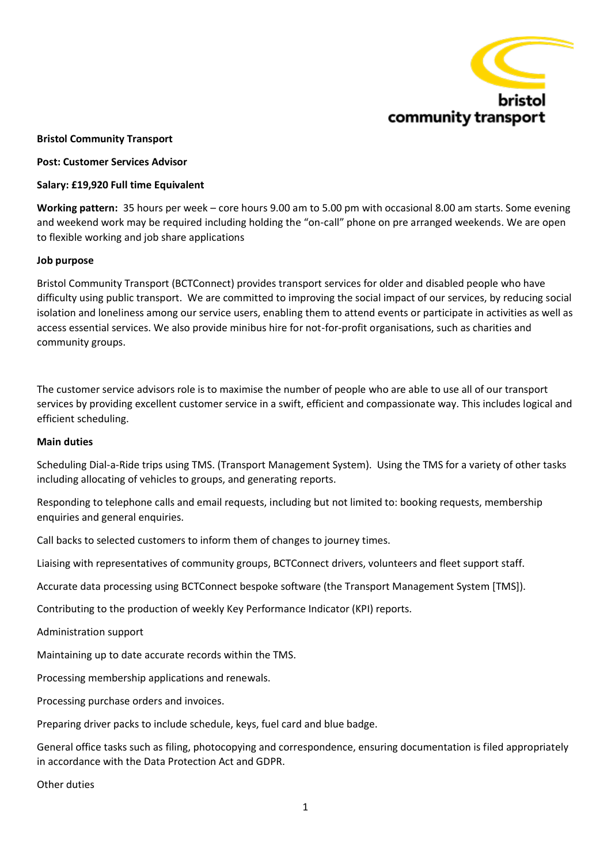

# **Bristol Community Transport**

## **Post: Customer Services Advisor**

## **Salary: £19,920 Full time Equivalent**

**Working pattern:** 35 hours per week – core hours 9.00 am to 5.00 pm with occasional 8.00 am starts. Some evening and weekend work may be required including holding the "on-call" phone on pre arranged weekends. We are open to flexible working and job share applications

## **Job purpose**

Bristol Community Transport (BCTConnect) provides transport services for older and disabled people who have difficulty using public transport. We are committed to improving the social impact of our services, by reducing social isolation and loneliness among our service users, enabling them to attend events or participate in activities as well as access essential services. We also provide minibus hire for not-for-profit organisations, such as charities and community groups.

The customer service advisors role is to maximise the number of people who are able to use all of our transport services by providing excellent customer service in a swift, efficient and compassionate way. This includes logical and efficient scheduling.

#### **Main duties**

Scheduling Dial-a-Ride trips using TMS. (Transport Management System). Using the TMS for a variety of other tasks including allocating of vehicles to groups, and generating reports.

Responding to telephone calls and email requests, including but not limited to: booking requests, membership enquiries and general enquiries.

Call backs to selected customers to inform them of changes to journey times.

Liaising with representatives of community groups, BCTConnect drivers, volunteers and fleet support staff.

Accurate data processing using BCTConnect bespoke software (the Transport Management System [TMS]).

Contributing to the production of weekly Key Performance Indicator (KPI) reports.

Administration support

Maintaining up to date accurate records within the TMS.

Processing membership applications and renewals.

Processing purchase orders and invoices.

Preparing driver packs to include schedule, keys, fuel card and blue badge.

General office tasks such as filing, photocopying and correspondence, ensuring documentation is filed appropriately in accordance with the Data Protection Act and GDPR.

Other duties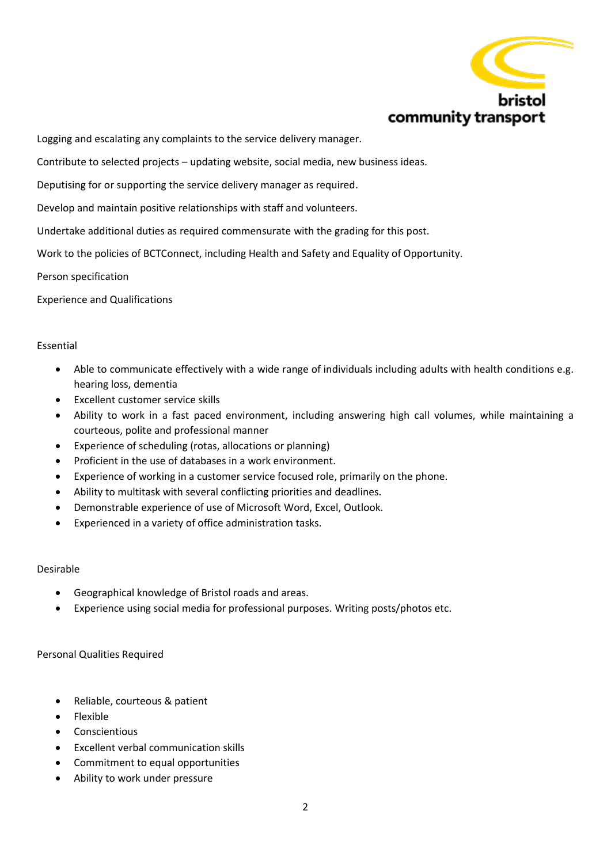

Logging and escalating any complaints to the service delivery manager.

Contribute to selected projects – updating website, social media, new business ideas.

Deputising for or supporting the service delivery manager as required.

Develop and maintain positive relationships with staff and volunteers.

Undertake additional duties as required commensurate with the grading for this post.

Work to the policies of BCTConnect, including Health and Safety and Equality of Opportunity.

#### Person specification

Experience and Qualifications

## Essential

- Able to communicate effectively with a wide range of individuals including adults with health conditions e.g. hearing loss, dementia
- Excellent customer service skills
- Ability to work in a fast paced environment, including answering high call volumes, while maintaining a courteous, polite and professional manner
- Experience of scheduling (rotas, allocations or planning)
- Proficient in the use of databases in a work environment.
- Experience of working in a customer service focused role, primarily on the phone.
- Ability to multitask with several conflicting priorities and deadlines.
- Demonstrable experience of use of Microsoft Word, Excel, Outlook.
- Experienced in a variety of office administration tasks.

## Desirable

- Geographical knowledge of Bristol roads and areas.
- Experience using social media for professional purposes. Writing posts/photos etc.

Personal Qualities Required

- Reliable, courteous & patient
- Flexible
- Conscientious
- Excellent verbal communication skills
- Commitment to equal opportunities
- Ability to work under pressure